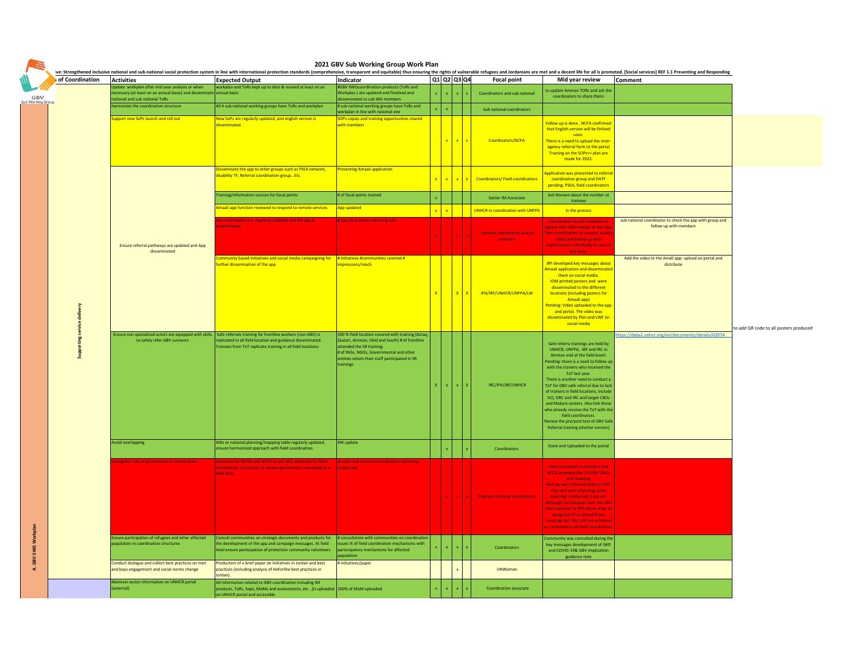|  | <b>Activities</b>                                                                                                       | <b>Expected Output</b>                                                                                                                                                             | Indicator                                                                                             |                             | Q1 Q2 Q3 Q4                  | ve: Strengthened inclusive national and sub-national social protection system in line with international protection standards (comprehensive, transparent and equitable) thus ensuring the rights of vulnerable refugees and J | <b>Focal point</b>                      | Mid year review                                                                  | Comment                                                           |
|--|-------------------------------------------------------------------------------------------------------------------------|------------------------------------------------------------------------------------------------------------------------------------------------------------------------------------|-------------------------------------------------------------------------------------------------------|-----------------------------|------------------------------|--------------------------------------------------------------------------------------------------------------------------------------------------------------------------------------------------------------------------------|-----------------------------------------|----------------------------------------------------------------------------------|-------------------------------------------------------------------|
|  | Update workplan after mid year analysis or when<br>necessary (at least on an annual basis) and disseminate annual basis | workplan and ToRs kept up to date & revised at least on an                                                                                                                         | #GBV SWGcoordination products (ToRs and<br>Workplan) are updated and finalized and                    | $\mathbf{x}$<br>$\mathbf x$ |                              |                                                                                                                                                                                                                                | Coordinators and sub national           | to update Amman TORs and ask the                                                 |                                                                   |
|  | national and sub national ToRs<br>Harmonize the coordination structure                                                  | All 4 sub national working groups have ToRs and workplan                                                                                                                           | disseminated to sub WG members<br># sub national working groups have ToRs and                         |                             |                              |                                                                                                                                                                                                                                |                                         | coordinators to share theirs                                                     |                                                                   |
|  |                                                                                                                         |                                                                                                                                                                                    | workplan in line with national one                                                                    |                             |                              |                                                                                                                                                                                                                                | Sub national coordinators               |                                                                                  |                                                                   |
|  | upport new SoPs launch and roll out                                                                                     | New SoPs are regularly updated, and english version is<br><b>lisseminated</b>                                                                                                      | SOPs copies and training opportunities shared<br>with members                                         |                             |                              |                                                                                                                                                                                                                                |                                         | Follow up is done NCFA confirmed<br>that English version will be finlized        |                                                                   |
|  |                                                                                                                         |                                                                                                                                                                                    |                                                                                                       |                             |                              |                                                                                                                                                                                                                                |                                         | soon.                                                                            |                                                                   |
|  |                                                                                                                         |                                                                                                                                                                                    |                                                                                                       |                             | $\mathbf{x}$<br>$\mathbf{x}$ |                                                                                                                                                                                                                                | Coordinators/NCFA                       | There is a need to upload the inter-<br>agency referral form to the portal       |                                                                   |
|  |                                                                                                                         |                                                                                                                                                                                    |                                                                                                       |                             |                              |                                                                                                                                                                                                                                |                                         | Training on the SOPs>> plan are<br>made for 2022.                                |                                                                   |
|  |                                                                                                                         | Disseminate the app to other groups such as PSEA network,                                                                                                                          | <b>Presenting Amaali application</b>                                                                  |                             |                              |                                                                                                                                                                                                                                |                                         |                                                                                  |                                                                   |
|  |                                                                                                                         | disability TF, Referral coordination group Etc.                                                                                                                                    |                                                                                                       | $x - x$                     | $x \mid x$                   |                                                                                                                                                                                                                                | <b>Coordinators/Field coordinatiors</b> | Application was presented to referral<br>coordination group and DATF             |                                                                   |
|  |                                                                                                                         |                                                                                                                                                                                    |                                                                                                       |                             |                              |                                                                                                                                                                                                                                |                                         | pending: PSEA, field coordinators                                                |                                                                   |
|  |                                                                                                                         | Training/information session for focal points                                                                                                                                      | # of focal points trained                                                                             |                             |                              |                                                                                                                                                                                                                                | Senior IM Associate                     | Ask Nisreen about the number ot<br>trainees                                      |                                                                   |
|  |                                                                                                                         | Amaali app function reviewed to respond to remote services                                                                                                                         | App updated                                                                                           | $\mathbf{x}$                |                              |                                                                                                                                                                                                                                | <b>UNHCR in coordination with UNFPA</b> | in the process                                                                   |                                                                   |
|  |                                                                                                                         | pp information are regularly updated and the app is                                                                                                                                | # app focal points receiving info                                                                     |                             |                              |                                                                                                                                                                                                                                |                                         | <b>Coordinators to ask members to</b>                                            | sub national coordinator to check the app with group and          |
|  |                                                                                                                         | sseminated                                                                                                                                                                         |                                                                                                       |                             |                              |                                                                                                                                                                                                                                | national coordinators and all           | update their information on the App<br>Then coordinators to conduct quality      | follow up with members                                            |
|  | Ensure referral pathways are updated and App                                                                            |                                                                                                                                                                                    |                                                                                                       |                             |                              |                                                                                                                                                                                                                                | members                                 | check and follow up with<br>organizations indivdually in case of                 |                                                                   |
|  | disseminated                                                                                                            |                                                                                                                                                                                    |                                                                                                       |                             |                              |                                                                                                                                                                                                                                |                                         | any issue.                                                                       |                                                                   |
|  |                                                                                                                         | Community based initiatives and social media campaigning for $#$ initiatives #communities covered #<br>further dissemination of the app                                            | mpressions/reach                                                                                      |                             |                              |                                                                                                                                                                                                                                |                                         | <b>JRF developed key messages about</b>                                          | Add the video to the Amali app-upload on portal and<br>distribute |
|  |                                                                                                                         |                                                                                                                                                                                    |                                                                                                       |                             |                              |                                                                                                                                                                                                                                |                                         | Amaali application and disseminated<br>them on social media.                     |                                                                   |
|  |                                                                                                                         |                                                                                                                                                                                    |                                                                                                       |                             |                              |                                                                                                                                                                                                                                |                                         | <b>IOM</b> printed posters and were<br>disseminated to the different             |                                                                   |
|  |                                                                                                                         |                                                                                                                                                                                    |                                                                                                       | $\mathbf{x}$                | $\mathbf{x}$                 |                                                                                                                                                                                                                                | IFH/JRF/UNHCR/UNFPA/LW                  | locations (including posters for<br>Amaali app)                                  |                                                                   |
|  |                                                                                                                         |                                                                                                                                                                                    |                                                                                                       |                             |                              |                                                                                                                                                                                                                                |                                         | Pending: Video uploaded to the app<br>and portal. The video was                  |                                                                   |
|  |                                                                                                                         |                                                                                                                                                                                    |                                                                                                       |                             |                              |                                                                                                                                                                                                                                |                                         | disseminated by Plan and LWF on                                                  |                                                                   |
|  |                                                                                                                         |                                                                                                                                                                                    |                                                                                                       |                             |                              |                                                                                                                                                                                                                                |                                         | social media                                                                     |                                                                   |
|  | to safely refer GBV survivors                                                                                           | Ensure non specialized actors are equipped with skills   Safe referrals training for frontline workers (non-GBV) is<br>replicated in all field location and guidance disseminated. | 100 % field location covered with training (Azraq,<br>Zaatari, Amman, Irbid and South) # of frontline |                             |                              |                                                                                                                                                                                                                                |                                         |                                                                                  | https://data2.unhcr.org/en/documents/details/63974                |
|  |                                                                                                                         | rainees from ToT replicate training in all field locations                                                                                                                         | attended the SR training.<br># of INGs. NGOs. Governmental and other                                  |                             |                              |                                                                                                                                                                                                                                |                                         | Safe referra trainings are held by<br>UNHCR, UNFPA, JRF and IRC in               |                                                                   |
|  |                                                                                                                         |                                                                                                                                                                                    | entities whom their staff participated in SR                                                          |                             |                              |                                                                                                                                                                                                                                |                                         | Amman and at the field leverl.<br>ending: there is a need to follow up           |                                                                   |
|  |                                                                                                                         |                                                                                                                                                                                    | trainings                                                                                             |                             |                              |                                                                                                                                                                                                                                |                                         | with the trainers who received the<br>ToT last year.                             |                                                                   |
|  |                                                                                                                         |                                                                                                                                                                                    |                                                                                                       | $\mathsf{x}$                |                              |                                                                                                                                                                                                                                | IRC/IFH/JRF/UNHCR                       | There is another need to conduct a<br>ToT for GBV safe referral due to lack      |                                                                   |
|  |                                                                                                                         |                                                                                                                                                                                    |                                                                                                       |                             |                              |                                                                                                                                                                                                                                |                                         | of trainers in field locations, include                                          |                                                                   |
|  |                                                                                                                         |                                                                                                                                                                                    |                                                                                                       |                             |                              |                                                                                                                                                                                                                                |                                         | ILO, DRC and IRC and target CBOs<br>and Makani centers. Also link those          |                                                                   |
|  |                                                                                                                         |                                                                                                                                                                                    |                                                                                                       |                             |                              |                                                                                                                                                                                                                                |                                         | who already receive the ToT with the<br>field coordinators.                      |                                                                   |
|  |                                                                                                                         |                                                                                                                                                                                    |                                                                                                       |                             |                              |                                                                                                                                                                                                                                |                                         | Review the pre/post test of GBV Safe<br>Referral training (shorter version)      |                                                                   |
|  |                                                                                                                         |                                                                                                                                                                                    |                                                                                                       |                             |                              |                                                                                                                                                                                                                                |                                         |                                                                                  |                                                                   |
|  | Avoid overlapping                                                                                                       | 4Ws or national planning/mapping table regularly updated,<br>ensure harmonized approach with field coordination.                                                                   | 4W update                                                                                             |                             |                              |                                                                                                                                                                                                                                | Coordinators                            | Done and Uploaded to the portal                                                  |                                                                   |
|  |                                                                                                                         |                                                                                                                                                                                    |                                                                                                       |                             |                              |                                                                                                                                                                                                                                |                                         |                                                                                  |                                                                   |
|  | engthen role of government in coordination                                                                              | Advocate for MOSD and NCFA to join WG, advocate for field  at least one national coordination workshop<br>coordination structures to involve government counterparts in conducted  |                                                                                                       |                             |                              |                                                                                                                                                                                                                                |                                         | Governemental counterpart and<br><b>NCFA attended the CP/GBV SWGs</b>            |                                                                   |
|  |                                                                                                                         | field WGs.                                                                                                                                                                         |                                                                                                       |                             |                              |                                                                                                                                                                                                                                |                                         | joint meeting.                                                                   |                                                                   |
|  |                                                                                                                         |                                                                                                                                                                                    |                                                                                                       |                             |                              |                                                                                                                                                                                                                                |                                         | Mafraq sent a formal letter to FPD,<br>they will start attending when            |                                                                   |
|  |                                                                                                                         |                                                                                                                                                                                    |                                                                                                       |                             |                              |                                                                                                                                                                                                                                | <b>Field and national coordiantors</b>  | meetings conducted in person.<br>Although coordinators sent the GBV              |                                                                   |
|  |                                                                                                                         |                                                                                                                                                                                    |                                                                                                       |                             |                              |                                                                                                                                                                                                                                |                                         | SWG calendar to FPD HQ in order to<br>designate FP to attend those               |                                                                   |
|  |                                                                                                                         |                                                                                                                                                                                    |                                                                                                       |                             |                              |                                                                                                                                                                                                                                |                                         | meetings but this istill not achieved<br>as confirmed by all field coordinators. |                                                                   |
|  | Ensure participation of refugees and other affected                                                                     | Consult communities on strategic documents and products for # consultation with communities on coordination                                                                        |                                                                                                       |                             |                              |                                                                                                                                                                                                                                |                                         | Community was consulted during the                                               |                                                                   |
|  | population in coordination structures                                                                                   | the development of the app and campaign messages. At field issues % of field coordination mechanisms with                                                                          |                                                                                                       |                             | $x - x$                      |                                                                                                                                                                                                                                | Coordinators                            | key messages development of IWD                                                  |                                                                   |
|  |                                                                                                                         | level ensure participation of protection community volunteers                                                                                                                      | partecipatory mechanisms for affected<br>population                                                   |                             |                              |                                                                                                                                                                                                                                |                                         | and COVID-19& GBV implication<br>guidance note                                   |                                                                   |
|  | Conduct dialogue and collect best practices on men<br>and boys engagement and social norms change                       | Production of a brief paper on initiatives in Jordan and best<br>practices (including analysis of HeforShe best practices in                                                       | # initiatives/paper                                                                                   |                             |                              |                                                                                                                                                                                                                                | <b>UNWomen</b>                          |                                                                                  |                                                                   |
|  |                                                                                                                         | Jordan).                                                                                                                                                                           |                                                                                                       |                             |                              |                                                                                                                                                                                                                                |                                         |                                                                                  |                                                                   |
|  | Maintain sector information on UNHCR portal<br>external)                                                                | All information related to GBV coordination including IM<br>products, ToRs, Sops, MoMs and assessments, etc ) is uploaded 100% of MoM uploaded                                     |                                                                                                       |                             |                              |                                                                                                                                                                                                                                | <b>Coordination associate</b>           |                                                                                  |                                                                   |
|  |                                                                                                                         | on UNHCR portal and accessible                                                                                                                                                     |                                                                                                       |                             |                              |                                                                                                                                                                                                                                |                                         |                                                                                  |                                                                   |